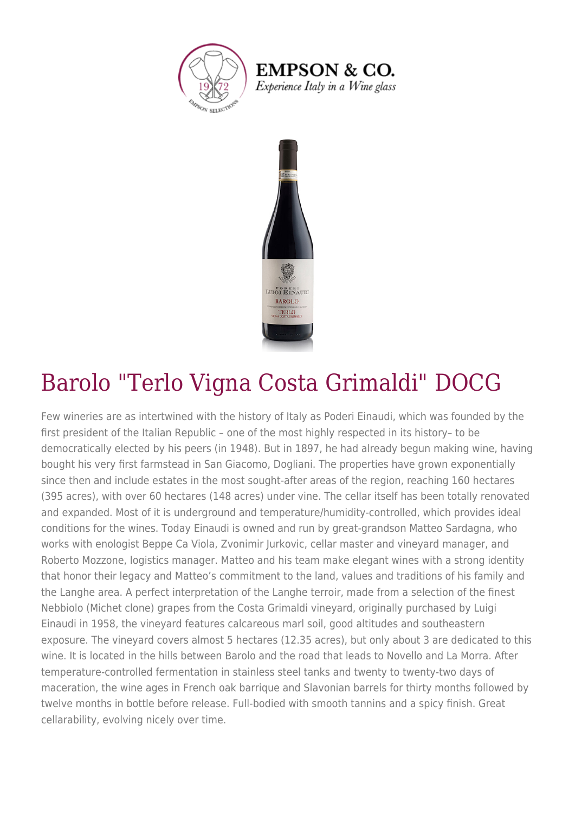

**EMPSON & CO.** Experience Italy in a Wine glass



## Barolo "Terlo Vigna Costa Grimaldi" DOCG

Few wineries are as intertwined with the history of Italy as Poderi Einaudi, which was founded by the first president of the Italian Republic – one of the most highly respected in its history– to be democratically elected by his peers (in 1948). But in 1897, he had already begun making wine, having bought his very first farmstead in San Giacomo, Dogliani. The properties have grown exponentially since then and include estates in the most sought-after areas of the region, reaching 160 hectares (395 acres), with over 60 hectares (148 acres) under vine. The cellar itself has been totally renovated and expanded. Most of it is underground and temperature/humidity-controlled, which provides ideal conditions for the wines. Today Einaudi is owned and run by great-grandson Matteo Sardagna, who works with enologist Beppe Ca Viola, Zvonimir Jurkovic, cellar master and vineyard manager, and Roberto Mozzone, logistics manager. Matteo and his team make elegant wines with a strong identity that honor their legacy and Matteo's commitment to the land, values and traditions of his family and the Langhe area. A perfect interpretation of the Langhe terroir, made from a selection of the finest Nebbiolo (Michet clone) grapes from the Costa Grimaldi vineyard, originally purchased by Luigi Einaudi in 1958, the vineyard features calcareous marl soil, good altitudes and southeastern exposure. The vineyard covers almost 5 hectares (12.35 acres), but only about 3 are dedicated to this wine. It is located in the hills between Barolo and the road that leads to Novello and La Morra. After temperature-controlled fermentation in stainless steel tanks and twenty to twenty-two days of maceration, the wine ages in French oak barrique and Slavonian barrels for thirty months followed by twelve months in bottle before release. Full-bodied with smooth tannins and a spicy finish. Great cellarability, evolving nicely over time.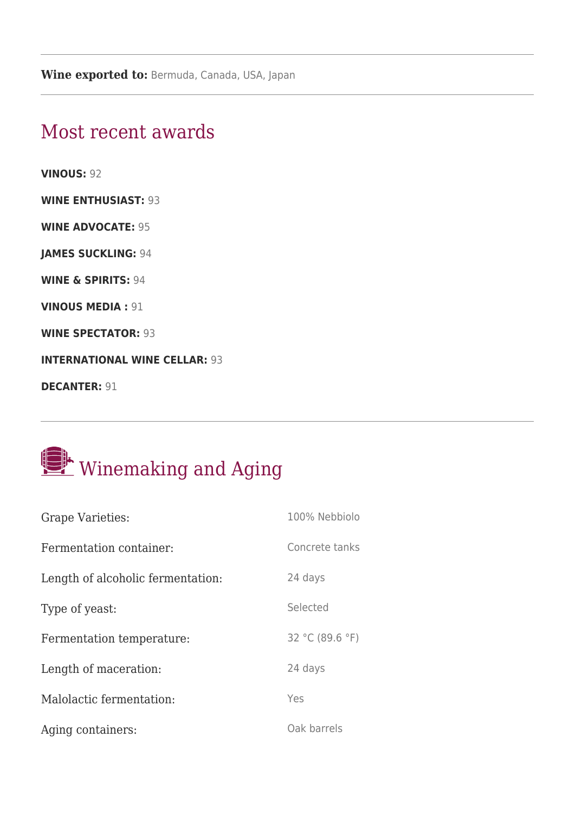## Most recent awards

**VINOUS:** 92

**WINE ENTHUSIAST:** 93

**WINE ADVOCATE:** 95

**JAMES SUCKLING:** 94

**WINE & SPIRITS:** 94

**VINOUS MEDIA :** 91

**WINE SPECTATOR:** 93

**INTERNATIONAL WINE CELLAR: 93** 

**DECANTER: 91** 

## Winemaking and Aging

| <b>Grape Varieties:</b>           | 100% Nebbiolo   |
|-----------------------------------|-----------------|
| Fermentation container:           | Concrete tanks  |
| Length of alcoholic fermentation: | 24 days         |
| Type of yeast:                    | Selected        |
| Fermentation temperature:         | 32 °C (89.6 °F) |
| Length of maceration:             | 24 days         |
| Malolactic fermentation:          | Yes             |
| Aging containers:                 | Oak barrels     |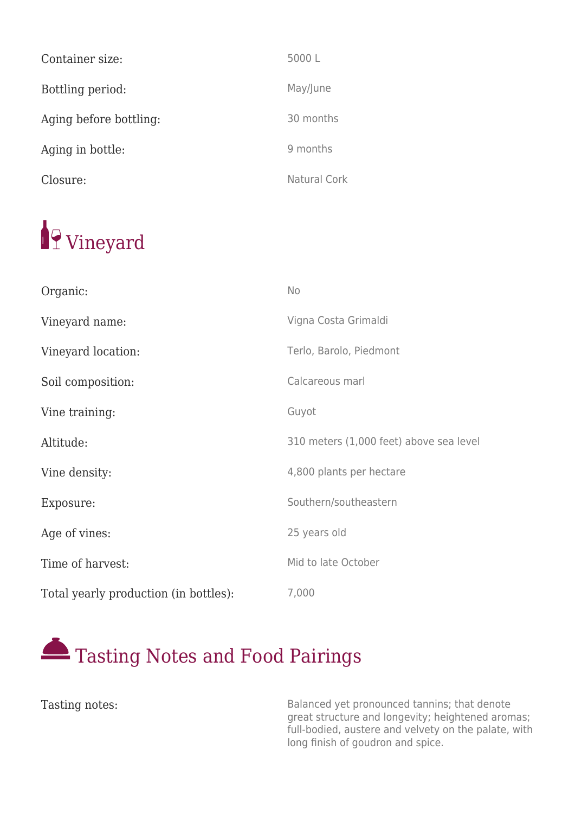| Container size:        | 5000L        |
|------------------------|--------------|
| Bottling period:       | May/June     |
| Aging before bottling: | 30 months    |
| Aging in bottle:       | 9 months     |
| Closure:               | Natural Cork |

## <sup>1</sup>9 Vineyard

| Organic:                              | No                                      |
|---------------------------------------|-----------------------------------------|
| Vineyard name:                        | Vigna Costa Grimaldi                    |
| Vineyard location:                    | Terlo, Barolo, Piedmont                 |
| Soil composition:                     | Calcareous marl                         |
| Vine training:                        | Guyot                                   |
| Altitude:                             | 310 meters (1,000 feet) above sea level |
| Vine density:                         | 4,800 plants per hectare                |
| Exposure:                             | Southern/southeastern                   |
| Age of vines:                         | 25 years old                            |
| Time of harvest:                      | Mid to late October                     |
| Total yearly production (in bottles): | 7,000                                   |



Tasting notes: Tasting notes: Tasting notes: Exercise Salanced yet pronounced tannins; that denote great structure and longevity; heightened aromas; full-bodied, austere and velvety on the palate, with long finish of goudron and spice.